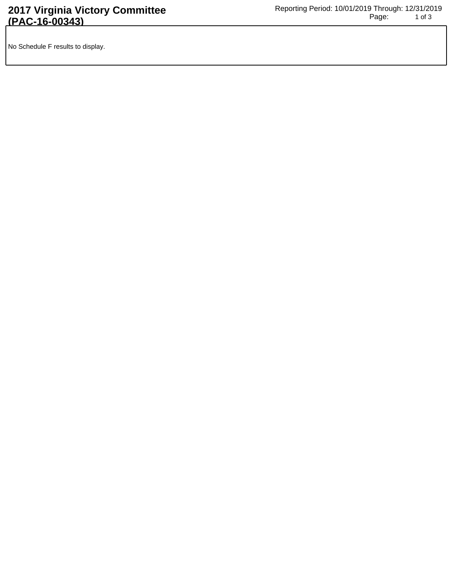No Schedule F results to display.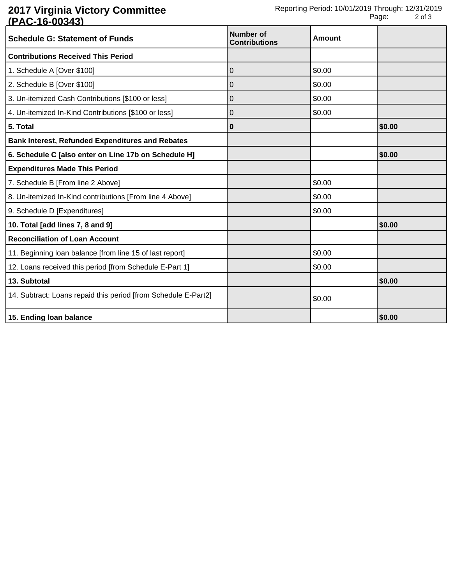## **2017 Virginia Victory Committee (PAC-16-00343)**

| <b>Schedule G: Statement of Funds</b>                          | <b>Number of</b><br><b>Contributions</b> | Amount |        |
|----------------------------------------------------------------|------------------------------------------|--------|--------|
| <b>Contributions Received This Period</b>                      |                                          |        |        |
| 1. Schedule A [Over \$100]                                     | 0                                        | \$0.00 |        |
| 2. Schedule B [Over \$100]                                     | 0                                        | \$0.00 |        |
| 3. Un-itemized Cash Contributions [\$100 or less]              | 0                                        | \$0.00 |        |
| 4. Un-itemized In-Kind Contributions [\$100 or less]           | 0                                        | \$0.00 |        |
| 5. Total                                                       | 0                                        |        | \$0.00 |
| <b>Bank Interest, Refunded Expenditures and Rebates</b>        |                                          |        |        |
| 6. Schedule C [also enter on Line 17b on Schedule H]           |                                          |        | \$0.00 |
| <b>Expenditures Made This Period</b>                           |                                          |        |        |
| 7. Schedule B [From line 2 Above]                              |                                          | \$0.00 |        |
| 8. Un-itemized In-Kind contributions [From line 4 Above]       |                                          | \$0.00 |        |
| 9. Schedule D [Expenditures]                                   |                                          | \$0.00 |        |
| 10. Total [add lines 7, 8 and 9]                               |                                          |        | \$0.00 |
| <b>Reconciliation of Loan Account</b>                          |                                          |        |        |
| 11. Beginning loan balance [from line 15 of last report]       |                                          | \$0.00 |        |
| 12. Loans received this period [from Schedule E-Part 1]        |                                          | \$0.00 |        |
| 13. Subtotal                                                   |                                          |        | \$0.00 |
| 14. Subtract: Loans repaid this period [from Schedule E-Part2] |                                          | \$0.00 |        |
| 15. Ending loan balance                                        |                                          |        | \$0.00 |